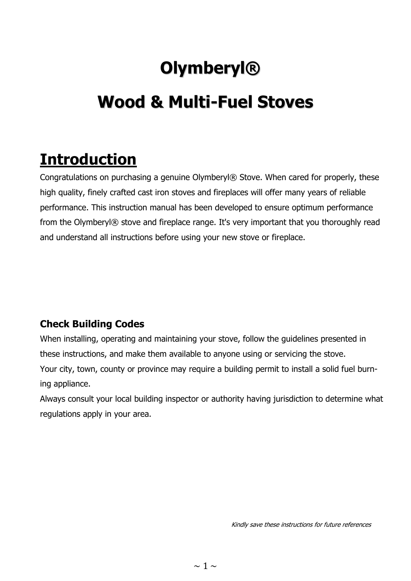# **Olymberyl®**

# **Wood & Multi-Fuel Stoves**

## **Introduction**

Congratulations on purchasing a genuine Olymberyl® Stove. When cared for properly, these high quality, finely crafted cast iron stoves and fireplaces will offer many years of reliable performance. This instruction manual has been developed to ensure optimum performance from the Olymberyl® stove and fireplace range. It's very important that you thoroughly read and understand all instructions before using your new stove or fireplace.

#### **Check Building Codes**

When installing, operating and maintaining your stove, follow the guidelines presented in these instructions, and make them available to anyone using or servicing the stove. Your city, town, county or province may require a building permit to install a solid fuel burning appliance.

Always consult your local building inspector or authority having jurisdiction to determine what regulations apply in your area.

Kindly save these instructions for future references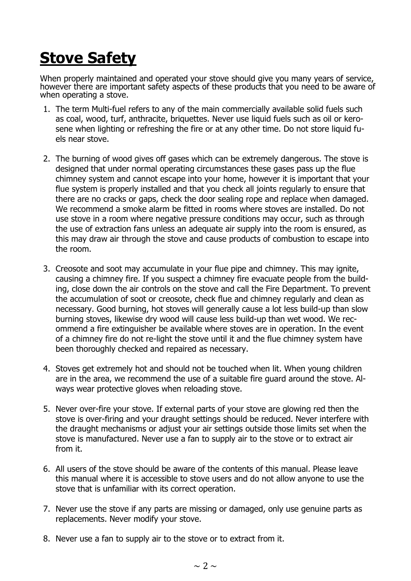## **Stove Safety**

When properly maintained and operated your stove should give you many years of service, however there are important safety aspects of these products that you need to be aware of when operating a stove.

- 1. The term Multi-fuel refers to any of the main commercially available solid fuels such as coal, wood, turf, anthracite, briquettes. Never use liquid fuels such as oil or kerosene when lighting or refreshing the fire or at any other time. Do not store liquid fuels near stove.
- 2. The burning of wood gives off gases which can be extremely dangerous. The stove is designed that under normal operating circumstances these gases pass up the flue chimney system and cannot escape into your home, however it is important that your flue system is properly installed and that you check all joints regularly to ensure that there are no cracks or gaps, check the door sealing rope and replace when damaged. We recommend a smoke alarm be fitted in rooms where stoves are installed. Do not use stove in a room where negative pressure conditions may occur, such as through the use of extraction fans unless an adequate air supply into the room is ensured, as this may draw air through the stove and cause products of combustion to escape into the room.
- 3. Creosote and soot may accumulate in your flue pipe and chimney. This may ignite, causing a chimney fire. If you suspect a chimney fire evacuate people from the building, close down the air controls on the stove and call the Fire Department. To prevent the accumulation of soot or creosote, check flue and chimney regularly and clean as necessary. Good burning, hot stoves will generally cause a lot less build-up than slow burning stoves, likewise dry wood will cause less build-up than wet wood. We recommend a fire extinguisher be available where stoves are in operation. In the event of a chimney fire do not re-light the stove until it and the flue chimney system have been thoroughly checked and repaired as necessary.
- 4. Stoves get extremely hot and should not be touched when lit. When young children are in the area, we recommend the use of a suitable fire guard around the stove. Always wear protective gloves when reloading stove.
- 5. Never over-fire your stove. If external parts of your stove are glowing red then the stove is over-firing and your draught settings should be reduced. Never interfere with the draught mechanisms or adjust your air settings outside those limits set when the stove is manufactured. Never use a fan to supply air to the stove or to extract air from it.
- 6. All users of the stove should be aware of the contents of this manual. Please leave this manual where it is accessible to stove users and do not allow anyone to use the stove that is unfamiliar with its correct operation.
- 7. Never use the stove if any parts are missing or damaged, only use genuine parts as replacements. Never modify your stove.
- 8. Never use a fan to supply air to the stove or to extract from it.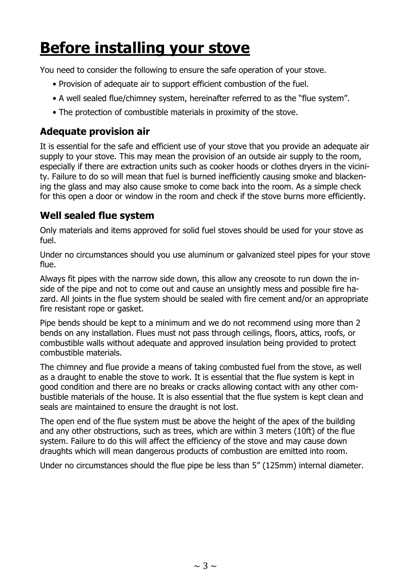# **Before installing your stove**

You need to consider the following to ensure the safe operation of your stove.

- Provision of adequate air to support efficient combustion of the fuel.
- A well sealed flue/chimney system, hereinafter referred to as the "flue system".
- The protection of combustible materials in proximity of the stove.

#### **Adequate provision air**

It is essential for the safe and efficient use of your stove that you provide an adequate air supply to your stove. This may mean the provision of an outside air supply to the room, especially if there are extraction units such as cooker hoods or clothes dryers in the vicinity. Failure to do so will mean that fuel is burned inefficiently causing smoke and blackening the glass and may also cause smoke to come back into the room. As a simple check for this open a door or window in the room and check if the stove burns more efficiently.

#### **Well sealed flue system**

Only materials and items approved for solid fuel stoves should be used for your stove as fuel.

Under no circumstances should you use aluminum or galvanized steel pipes for your stove flue.

Always fit pipes with the narrow side down, this allow any creosote to run down the inside of the pipe and not to come out and cause an unsightly mess and possible fire hazard. All joints in the flue system should be sealed with fire cement and/or an appropriate fire resistant rope or gasket.

Pipe bends should be kept to a minimum and we do not recommend using more than 2 bends on any installation. Flues must not pass through ceilings, floors, attics, roofs, or combustible walls without adequate and approved insulation being provided to protect combustible materials.

The chimney and flue provide a means of taking combusted fuel from the stove, as well as a draught to enable the stove to work. It is essential that the flue system is kept in good condition and there are no breaks or cracks allowing contact with any other combustible materials of the house. It is also essential that the flue system is kept clean and seals are maintained to ensure the draught is not lost.

The open end of the flue system must be above the height of the apex of the building and any other obstructions, such as trees, which are within 3 meters (10ft) of the flue system. Failure to do this will affect the efficiency of the stove and may cause down draughts which will mean dangerous products of combustion are emitted into room.

Under no circumstances should the flue pipe be less than 5" (125mm) internal diameter.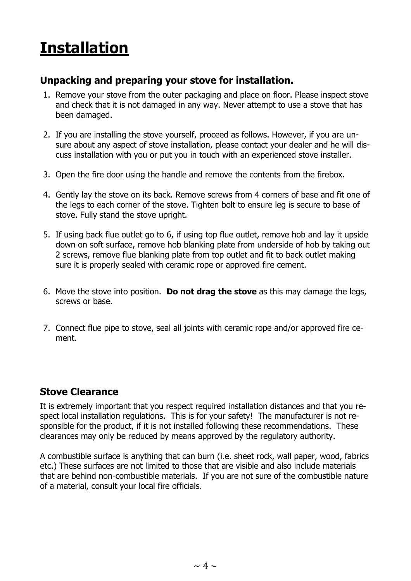# **Installation**

#### **Unpacking and preparing your stove for installation.**

- 1. Remove your stove from the outer packaging and place on floor. Please inspect stove and check that it is not damaged in any way. Never attempt to use a stove that has been damaged.
- 2. If you are installing the stove yourself, proceed as follows. However, if you are unsure about any aspect of stove installation, please contact your dealer and he will discuss installation with you or put you in touch with an experienced stove installer.
- 3. Open the fire door using the handle and remove the contents from the firebox.
- 4. Gently lay the stove on its back. Remove screws from 4 corners of base and fit one of the legs to each corner of the stove. Tighten bolt to ensure leg is secure to base of stove. Fully stand the stove upright.
- 5. If using back flue outlet go to 6, if using top flue outlet, remove hob and lay it upside down on soft surface, remove hob blanking plate from underside of hob by taking out 2 screws, remove flue blanking plate from top outlet and fit to back outlet making sure it is properly sealed with ceramic rope or approved fire cement.
- 6. Move the stove into position. **Do not drag the stove** as this may damage the legs, screws or base.
- 7. Connect flue pipe to stove, seal all joints with ceramic rope and/or approved fire cement.

#### **Stove Clearance**

It is extremely important that you respect required installation distances and that you respect local installation regulations. This is for your safety! The manufacturer is not responsible for the product, if it is not installed following these recommendations. These clearances may only be reduced by means approved by the regulatory authority.

A combustible surface is anything that can burn (i.e. sheet rock, wall paper, wood, fabrics etc.) These surfaces are not limited to those that are visible and also include materials that are behind non-combustible materials. If you are not sure of the combustible nature of a material, consult your local fire officials.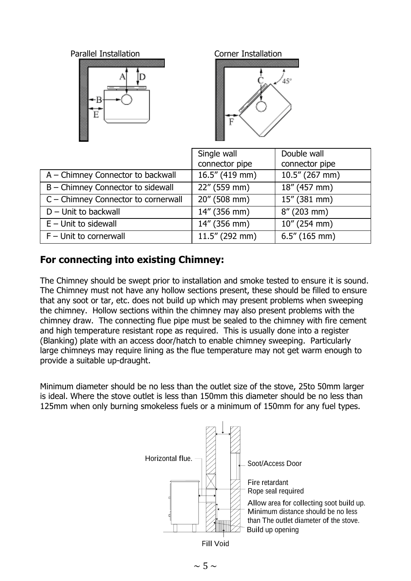



|                                     | Single wall       | Double wall       |
|-------------------------------------|-------------------|-------------------|
|                                     | connector pipe    | connector pipe    |
| A – Chimney Connector to backwall   | $16.5''$ (419 mm) | $10.5''$ (267 mm) |
| B - Chimney Connector to sidewall   | 22" (559 mm)      | 18" (457 mm)      |
| C - Chimney Connector to cornerwall | 20" (508 mm)      | 15" (381 mm)      |
| $D$ – Unit to backwall              | 14" (356 mm)      | $8''(203$ mm)     |
| $E -$ Unit to sidewall              | 14" (356 mm)      | 10" (254 mm)      |
| $F -$ Unit to cornerwall            | $11.5''$ (292 mm) | $6.5''$ (165 mm)  |

### **For connecting into existing Chimney:**

The Chimney should be swept prior to installation and smoke tested to ensure it is sound. The Chimney must not have any hollow sections present, these should be filled to ensure that any soot or tar, etc. does not build up which may present problems when sweeping the chimney. Hollow sections within the chimney may also present problems with the chimney draw. The connecting flue pipe must be sealed to the chimney with fire cement and high temperature resistant rope as required. This is usually done into a register (Blanking) plate with an access door/hatch to enable chimney sweeping. Particularly large chimneys may require lining as the flue temperature may not get warm enough to provide a suitable up-draught.

Minimum diameter should be no less than the outlet size of the stove, 25to 50mm larger is ideal. Where the stove outlet is less than 150mm this diameter should be no less than 125mm when only burning smokeless fuels or a minimum of 150mm for any fuel types.

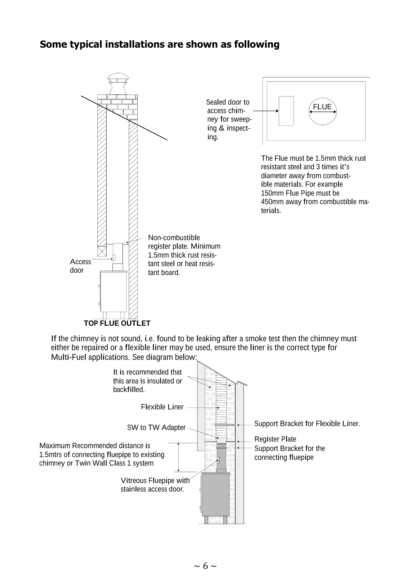#### **Some typical installations are shown as following**



If the chimney is not sound, i.e. found to be leaking after <sup>a</sup> smoke test then the chimney must either be repaired or <sup>a</sup> flexible liner may be used, ensure the liner is the correct type for Multi-Fuel applications. See diagram below:

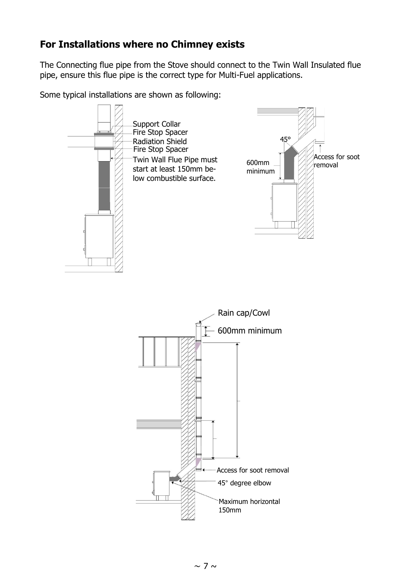#### **For Installations where no Chimney exists**

The Connecting flue pipe from the Stove should connect to the Twin Wall Insulated flue pipe, ensure this flue pipe is the correct type for Multi-Fuel applications.

Some typical installations are shown as following:

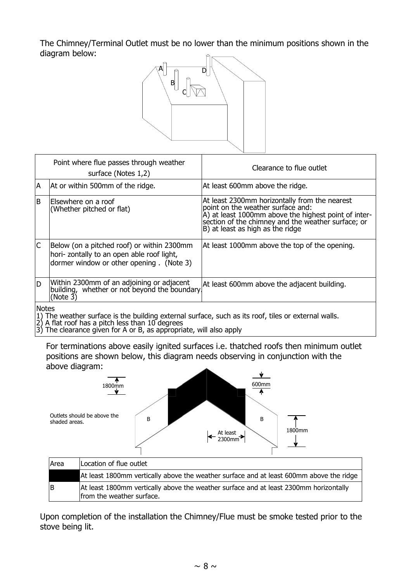The Chimney/Terminal Outlet must be no lower than the minimum positions shown in the diagram below:



|                         | Point where flue passes through weather<br>surface (Notes 1,2)                                                                       | Clearance to flue outlet                                                                                                                                                                                                             |  |  |
|-------------------------|--------------------------------------------------------------------------------------------------------------------------------------|--------------------------------------------------------------------------------------------------------------------------------------------------------------------------------------------------------------------------------------|--|--|
| ΙA                      | At or within 500mm of the ridge.                                                                                                     | At least 600mm above the ridge.                                                                                                                                                                                                      |  |  |
| B                       | Elsewhere on a roof<br>(Whether pitched or flat)                                                                                     | At least 2300mm horizontally from the nearest<br>point on the weather surface and:<br>A) at least 1000mm above the highest point of inter-<br>section of the chimney and the weather surface; or<br>B) at least as high as the ridge |  |  |
| $\overline{\mathsf{C}}$ | Below (on a pitched roof) or within 2300mm<br>hori- zontally to an open able roof light,<br>dormer window or other opening. (Note 3) | At least 1000mm above the top of the opening.                                                                                                                                                                                        |  |  |
| D                       | Within 2300mm of an adjoining or adjacent<br>building, whether or not beyond the boundary.<br>(Note $3$ )                            | At least 600mm above the adjacent building.                                                                                                                                                                                          |  |  |
|                         | <b>Notes</b><br>1) The weather surface is the building external surface, such as its roof, tiles or external walls                   |                                                                                                                                                                                                                                      |  |  |

1) The weather surface is the building external surface, such as its roof, tiles or external walls.

2) A flat roof has a pitch less than 10 degrees

3) The clearance given for A or B, as appropriate, will also apply

For terminations above easily ignited surfaces i.e. thatched roofs then minimum outlet positions are shown below, this diagram needs observing in conjunction with the above diagram:



| 'N ca | ובטכמנוטוו טו וועכ טענוכנ                                                                                          |
|-------|--------------------------------------------------------------------------------------------------------------------|
|       | At least 1800mm vertically above the weather surface and at least 600mm above the ridge                            |
| ΙB    | At least 1800mm vertically above the weather surface and at least 2300mm horizontally<br>from the weather surface. |

Upon completion of the installation the Chimney/Flue must be smoke tested prior to the stove being lit.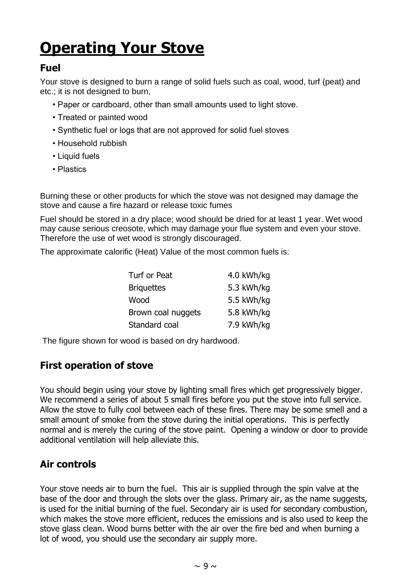# **Operating Your Stove**

#### **Fuel**

Your stove is designed to burn a range of solid fuels such as coal, wood, turf (peat) and etc.; it is not designed to burn,

- Paper or cardboard, other than small amounts used to light stove.
- Treated or painted wood
- Synthetic fuel or logs that are not approved for solid fuel stoves
- Household rubbish
- Liquid fuels
- Plastics

Burning these or other products for which the stove was not designed may damage the stove and cause a fire hazard or release toxic fumes

Fuel should be stored in a dry place; wood should be dried for at least 1 year. Wet wood may cause serious creosote, which may damage your flue system and even your stove. Therefore the use of wet wood is strongly discouraged.

The approximate calorific (Heat) Value of the most common fuels is:

| Turf or Peat       | 4.0 kWh/kg |
|--------------------|------------|
| <b>Briquettes</b>  | 5.3 kWh/kg |
| Wood               | 5.5 kWh/kg |
| Brown coal nuggets | 5.8 kWh/kg |
| Standard coal      | 7.9 kWh/kg |

The figure shown for wood is based on dry hardwood.

#### **First operation of stove**

You should begin using your stove by lighting small fires which get progressively bigger. We recommend a series of about 5 small fires before you put the stove into full service. Allow the stove to fully cool between each of these fires. There may be some smell and a small amount of smoke from the stove during the initial operations. This is perfectly normal and is merely the curing of the stove paint. Opening a window or door to provide additional ventilation will help alleviate this.

#### **Air controls**

Your stove needs air to burn the fuel. This air is supplied through the spin valve at the base of the door and through the slots over the glass. Primary air, as the name suggests, is used for the initial burning of the fuel. Secondary air is used for secondary combustion, which makes the stove more efficient, reduces the emissions and is also used to keep the stove glass clean. Wood burns better with the air over the fire bed and when burning a lot of wood, you should use the secondary air supply more.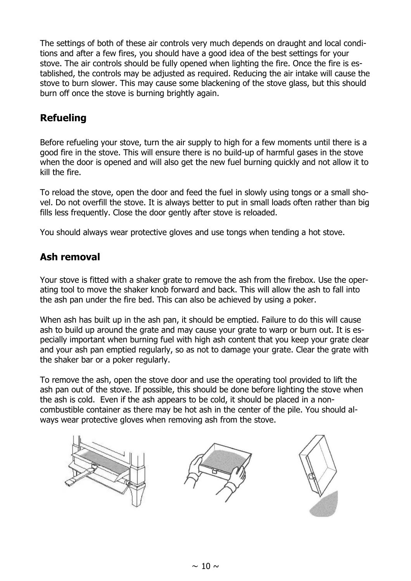The settings of both of these air controls very much depends on draught and local conditions and after a few fires, you should have a good idea of the best settings for your stove. The air controls should be fully opened when lighting the fire. Once the fire is established, the controls may be adjusted as required. Reducing the air intake will cause the stove to burn slower. This may cause some blackening of the stove glass, but this should burn off once the stove is burning brightly again.

### **Refueling**

Before refueling your stove, turn the air supply to high for a few moments until there is a good fire in the stove. This will ensure there is no build-up of harmful gases in the stove when the door is opened and will also get the new fuel burning quickly and not allow it to kill the fire.

To reload the stove, open the door and feed the fuel in slowly using tongs or a small shovel. Do not overfill the stove. It is always better to put in small loads often rather than big fills less frequently. Close the door gently after stove is reloaded.

You should always wear protective gloves and use tongs when tending a hot stove.

#### **Ash removal**

Your stove is fitted with a shaker grate to remove the ash from the firebox. Use the operating tool to move the shaker knob forward and back. This will allow the ash to fall into the ash pan under the fire bed. This can also be achieved by using a poker.

When ash has built up in the ash pan, it should be emptied. Failure to do this will cause ash to build up around the grate and may cause your grate to warp or burn out. It is especially important when burning fuel with high ash content that you keep your grate clear and your ash pan emptied regularly, so as not to damage your grate. Clear the grate with the shaker bar or a poker regularly.

To remove the ash, open the stove door and use the operating tool provided to lift the ash pan out of the stove. If possible, this should be done before lighting the stove when the ash is cold. Even if the ash appears to be cold, it should be placed in a noncombustible container as there may be hot ash in the center of the pile. You should always wear protective gloves when removing ash from the stove.

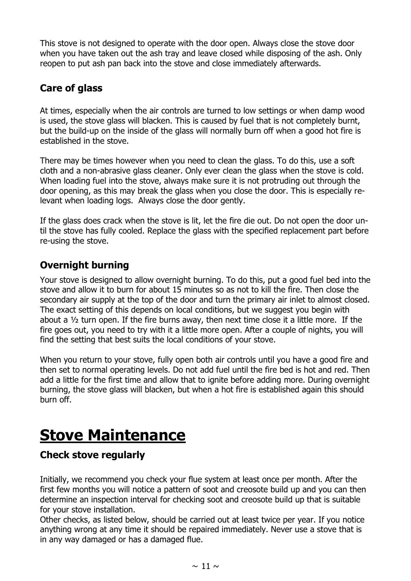This stove is not designed to operate with the door open. Always close the stove door when you have taken out the ash tray and leave closed while disposing of the ash. Only reopen to put ash pan back into the stove and close immediately afterwards.

### **Care of glass**

At times, especially when the air controls are turned to low settings or when damp wood is used, the stove glass will blacken. This is caused by fuel that is not completely burnt, but the build-up on the inside of the glass will normally burn off when a good hot fire is established in the stove.

There may be times however when you need to clean the glass. To do this, use a soft cloth and a non-abrasive glass cleaner. Only ever clean the glass when the stove is cold. When loading fuel into the stove, always make sure it is not protruding out through the door opening, as this may break the glass when you close the door. This is especially relevant when loading logs. Always close the door gently.

If the glass does crack when the stove is lit, let the fire die out. Do not open the door until the stove has fully cooled. Replace the glass with the specified replacement part before re-using the stove.

### **Overnight burning**

Your stove is designed to allow overnight burning. To do this, put a good fuel bed into the stove and allow it to burn for about 15 minutes so as not to kill the fire. Then close the secondary air supply at the top of the door and turn the primary air inlet to almost closed. The exact setting of this depends on local conditions, but we suggest you begin with about a  $\frac{1}{2}$  turn open. If the fire burns away, then next time close it a little more. If the fire goes out, you need to try with it a little more open. After a couple of nights, you will find the setting that best suits the local conditions of your stove.

When you return to your stove, fully open both air controls until you have a good fire and then set to normal operating levels. Do not add fuel until the fire bed is hot and red. Then add a little for the first time and allow that to ignite before adding more. During overnight burning, the stove glass will blacken, but when a hot fire is established again this should burn off.

## **Stove Maintenance**

#### **Check stove regularly**

Initially, we recommend you check your flue system at least once per month. After the first few months you will notice a pattern of soot and creosote build up and you can then determine an inspection interval for checking soot and creosote build up that is suitable for your stove installation.

Other checks, as listed below, should be carried out at least twice per year. If you notice anything wrong at any time it should be repaired immediately. Never use a stove that is in any way damaged or has a damaged flue.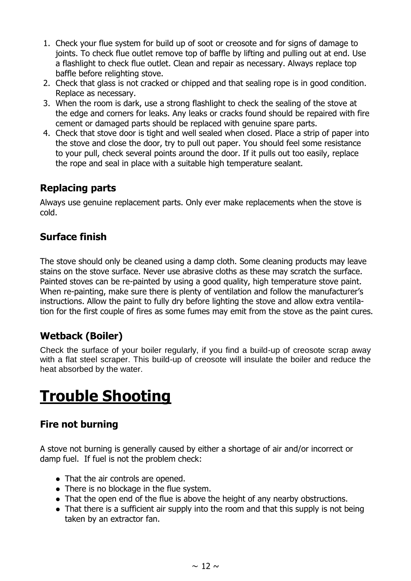- 1. Check your flue system for build up of soot or creosote and for signs of damage to joints. To check flue outlet remove top of baffle by lifting and pulling out at end. Use a flashlight to check flue outlet. Clean and repair as necessary. Always replace top baffle before relighting stove.
- 2. Check that glass is not cracked or chipped and that sealing rope is in good condition. Replace as necessary.
- 3. When the room is dark, use a strong flashlight to check the sealing of the stove at the edge and corners for leaks. Any leaks or cracks found should be repaired with fire cement or damaged parts should be replaced with genuine spare parts.
- 4. Check that stove door is tight and well sealed when closed. Place a strip of paper into the stove and close the door, try to pull out paper. You should feel some resistance to your pull, check several points around the door. If it pulls out too easily, replace the rope and seal in place with a suitable high temperature sealant.

### **Replacing parts**

Always use genuine replacement parts. Only ever make replacements when the stove is cold.

#### **Surface finish**

The stove should only be cleaned using a damp cloth. Some cleaning products may leave stains on the stove surface. Never use abrasive cloths as these may scratch the surface. Painted stoves can be re-painted by using a good quality, high temperature stove paint. When re-painting, make sure there is plenty of ventilation and follow the manufacturer's instructions. Allow the paint to fully dry before lighting the stove and allow extra ventilation for the first couple of fires as some fumes may emit from the stove as the paint cures.

#### **Wetback (Boiler)**

Check the surface of your boiler regularly, if you find a build-up of creosote scrap away with a flat steel scraper. This build-up of creosote will insulate the boiler and reduce the heat absorbed by the water.

## **Trouble Shooting**

#### **Fire not burning**

A stove not burning is generally caused by either a shortage of air and/or incorrect or damp fuel. If fuel is not the problem check:

- That the air controls are opened.
- There is no blockage in the flue system.
- That the open end of the flue is above the height of any nearby obstructions.
- That there is a sufficient air supply into the room and that this supply is not being taken by an extractor fan.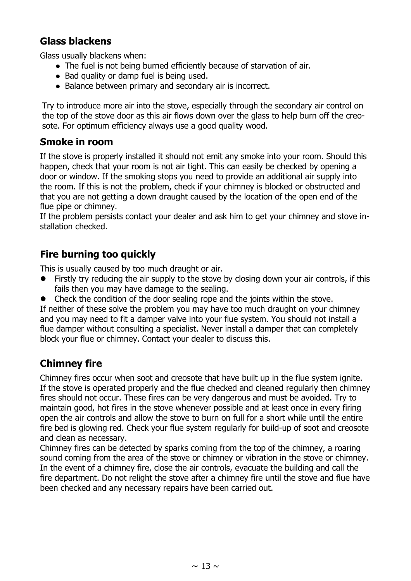#### **Glass blackens**

Glass usually blackens when:

- The fuel is not being burned efficiently because of starvation of air.
- Bad quality or damp fuel is being used.
- Balance between primary and secondary air is incorrect.

Try to introduce more air into the stove, especially through the secondary air control on the top of the stove door as this air flows down over the glass to help burn off the creosote. For optimum efficiency always use a good quality wood.

#### **Smoke in room**

If the stove is properly installed it should not emit any smoke into your room. Should this happen, check that your room is not air tight. This can easily be checked by opening a door or window. If the smoking stops you need to provide an additional air supply into the room. If this is not the problem, check if your chimney is blocked or obstructed and that you are not getting a down draught caused by the location of the open end of the flue pipe or chimney.

If the problem persists contact your dealer and ask him to get your chimney and stove installation checked.

#### **Fire burning too quickly**

This is usually caused by too much draught or air.

- Firstly try reducing the air supply to the stove by closing down your air controls, if this fails then you may have damage to the sealing.
- Check the condition of the door sealing rope and the joints within the stove.

If neither of these solve the problem you may have too much draught on your chimney and you may need to fit a damper valve into your flue system. You should not install a flue damper without consulting a specialist. Never install a damper that can completely block your flue or chimney. Contact your dealer to discuss this.

#### **Chimney fire**

Chimney fires occur when soot and creosote that have built up in the flue system ignite. If the stove is operated properly and the flue checked and cleaned regularly then chimney fires should not occur. These fires can be very dangerous and must be avoided. Try to maintain good, hot fires in the stove whenever possible and at least once in every firing open the air controls and allow the stove to burn on full for a short while until the entire fire bed is glowing red. Check your flue system regularly for build-up of soot and creosote and clean as necessary.

Chimney fires can be detected by sparks coming from the top of the chimney, a roaring sound coming from the area of the stove or chimney or vibration in the stove or chimney. In the event of a chimney fire, close the air controls, evacuate the building and call the fire department. Do not relight the stove after a chimney fire until the stove and flue have been checked and any necessary repairs have been carried out.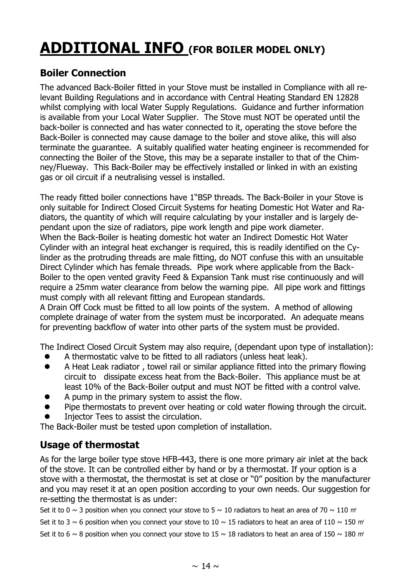## **ADDITIONAL INFO (FOR BOILER MODEL ONLY)**

### **Boiler Connection**

The advanced Back-Boiler fitted in your Stove must be installed in Compliance with all relevant Building Regulations and in accordance with Central Heating Standard EN 12828 whilst complying with local Water Supply Regulations. Guidance and further information is available from your Local Water Supplier. The Stove must NOT be operated until the back-boiler is connected and has water connected to it, operating the stove before the Back-Boiler is connected may cause damage to the boiler and stove alike, this will also terminate the guarantee. A suitably qualified water heating engineer is recommended for connecting the Boiler of the Stove, this may be a separate installer to that of the Chimney/Flueway. This Back-Boiler may be effectively installed or linked in with an existing gas or oil circuit if a neutralising vessel is installed.

The ready fitted boiler connections have 1"BSP threads. The Back-Boiler in your Stove is only suitable for Indirect Closed Circuit Systems for heating Domestic Hot Water and Radiators, the quantity of which will require calculating by your installer and is largely dependant upon the size of radiators, pipe work length and pipe work diameter. When the Back-Boiler is heating domestic hot water an Indirect Domestic Hot Water Cylinder with an integral heat exchanger is required, this is readily identified on the Cylinder as the protruding threads are male fitting, do NOT confuse this with an unsuitable Direct Cylinder which has female threads. Pipe work where applicable from the Back-Boiler to the open vented gravity Feed & Expansion Tank must rise continuously and will require a 25mm water clearance from below the warning pipe. All pipe work and fittings must comply with all relevant fitting and European standards.

A Drain Off Cock must be fitted to all low points of the system. A method of allowing complete drainage of water from the system must be incorporated. An adequate means for preventing backflow of water into other parts of the system must be provided.

The Indirect Closed Circuit System may also require, (dependant upon type of installation):

- A thermostatic valve to be fitted to all radiators (unless heat leak).
- A Heat Leak radiator , towel rail or similar appliance fitted into the primary flowing circuit to dissipate excess heat from the Back-Boiler. This appliance must be at least 10% of the Back-Boiler output and must NOT be fitted with a control valve.
- A pump in the primary system to assist the flow.
- Pipe thermostats to prevent over heating or cold water flowing through the circuit.
- Injector Tees to assist the circulation.

The Back-Boiler must be tested upon completion of installation.

#### **Usage of thermostat**

As for the large boiler type stove HFB-443, there is one more primary air inlet at the back of the stove. It can be controlled either by hand or by a thermostat. If your option is a stove with a thermostat, the thermostat is set at close or "0" position by the manufacturer and you may reset it at an open position according to your own needs. Our suggestion for re-setting the thermostat is as under:

Set it to 0  $\sim$  3 position when you connect your stove to 5  $\sim$  10 radiators to heat an area of 70  $\sim$  110 m<sup>2</sup>

Set it to 3  $\sim$  6 position when you connect your stove to 10  $\sim$  15 radiators to heat an area of 110  $\sim$  150 m<sup>2</sup>

Set it to 6 ~ 8 position when you connect your stove to 15 ~ 18 radiators to heat an area of 150 ~ 180 m<sup>2</sup>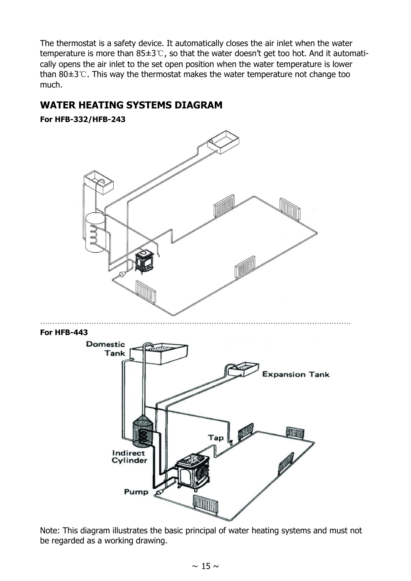The thermostat is a safety device. It automatically closes the air inlet when the water temperature is more than 85±3℃, so that the water doesn't get too hot. And it automatically opens the air inlet to the set open position when the water temperature is lower than 80 $\pm$ 3℃. This way the thermostat makes the water temperature not change too much.

#### **WATER HEATING SYSTEMS DIAGRAM**

**For HFB-332/HFB-243**



Note: This diagram illustrates the basic principal of water heating systems and must not be regarded as a working drawing.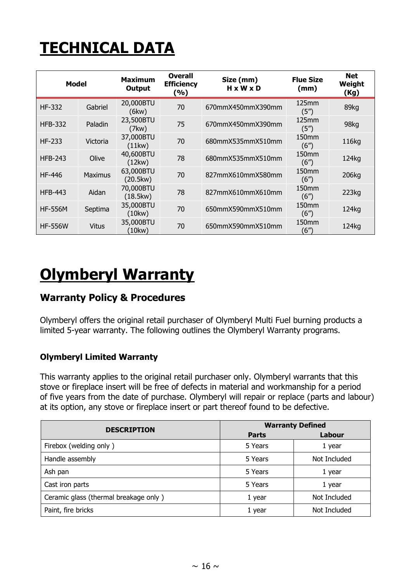# **TECHNICAL DATA**

| <b>Model</b>   |                | <b>Maximum</b><br>Output | <b>Overall</b><br><b>Efficiency</b><br>(%) | Size (mm)<br>$H \times W \times D$ | <b>Flue Size</b><br>(mm)                | <b>Net</b><br>Weight<br>(Kg) |
|----------------|----------------|--------------------------|--------------------------------------------|------------------------------------|-----------------------------------------|------------------------------|
| <b>HF-332</b>  | Gabriel        | 20,000BTU<br>(6kw)       | 70                                         | 670mmX450mmX390mm                  | 125mm<br>(5 <sup>''</sup> )             | 89kg                         |
| <b>HFB-332</b> | Paladin        | 23,500BTU<br>(7kw)       | 75                                         | 670mmX450mmX390mm                  | 125mm<br>(5 <sup>''</sup> )             | 98kg                         |
| $HF-233$       | Victoria       | 37,000BTU<br>(11kw)      | 70                                         | 680mmX535mmX510mm                  | 150 <sub>mm</sub><br>(6 <sup>''</sup> ) | 116kg                        |
| <b>HFB-243</b> | Olive          | 40,600BTU<br>(12kw)      | 78                                         | 680mmX535mmX510mm                  | 150 <sub>mm</sub><br>(6 <sup>''</sup> ) | 124kg                        |
| <b>HF-446</b>  | <b>Maximus</b> | 63,000BTU<br>(20.5kw)    | 70                                         | 827mmX610mmX580mm                  | 150 <sub>mm</sub><br>(6")               | 206kg                        |
| <b>HFB-443</b> | Aidan          | 70,000BTU<br>(18.5kw)    | 78                                         | 827mmX610mmX610mm                  | 150mm<br>(6 <sup>''</sup> )             | 223kg                        |
| <b>HF-556M</b> | Septima        | 35,000BTU<br>(10kw)      | 70                                         | 650mmX590mmX510mm                  | 150 <sub>mm</sub><br>(6 <sup>''</sup> ) | 124kg                        |
| <b>HF-556W</b> | Vitus          | 35,000BTU<br>(10kw)      | 70                                         | 650mmX590mmX510mm                  | 150 <sub>mm</sub><br>(6″)               | 124kg                        |

## **Olymberyl Warranty**

#### **Warranty Policy & Procedures**

Olymberyl offers the original retail purchaser of Olymberyl Multi Fuel burning products a limited 5-year warranty. The following outlines the Olymberyl Warranty programs.

#### **Olymberyl Limited Warranty**

This warranty applies to the original retail purchaser only. Olymberyl warrants that this stove or fireplace insert will be free of defects in material and workmanship for a period of five years from the date of purchase. Olymberyl will repair or replace (parts and labour) at its option, any stove or fireplace insert or part thereof found to be defective.

| <b>DESCRIPTION</b>                    | <b>Warranty Defined</b> |              |  |
|---------------------------------------|-------------------------|--------------|--|
|                                       | <b>Parts</b>            | Labour       |  |
| Firebox (welding only)                | 5 Years                 | 1 year       |  |
| Handle assembly                       | 5 Years                 | Not Included |  |
| Ash pan                               | 5 Years                 | 1 year       |  |
| Cast iron parts                       | 5 Years                 | 1 year       |  |
| Ceramic glass (thermal breakage only) | 1 year                  | Not Included |  |
| Paint, fire bricks                    | 1 year                  | Not Included |  |